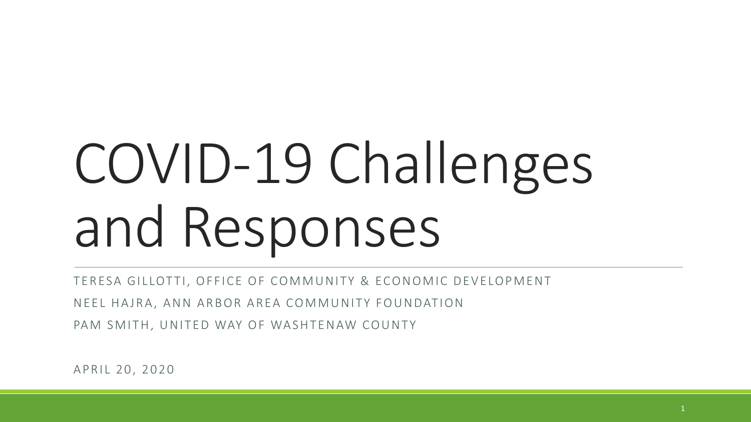# COVID-19 Challenges and Responses

TERESA GILLOTTI, OFFICE OF COMMUNITY & ECONOMIC DEVELOPMENT

NEEL HAJRA, ANN ARBOR AREA COMMUNITY FOUNDATION

PAM SMITH, UNITED WAY OF WASHTENAW COUNTY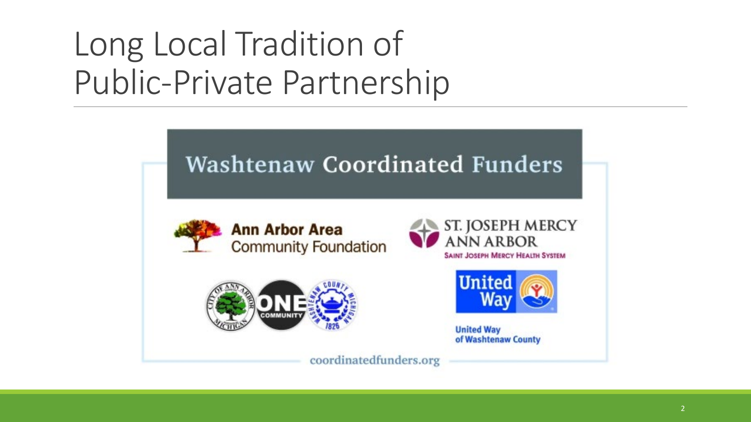# Long Local Tradition of Public-Private Partnership

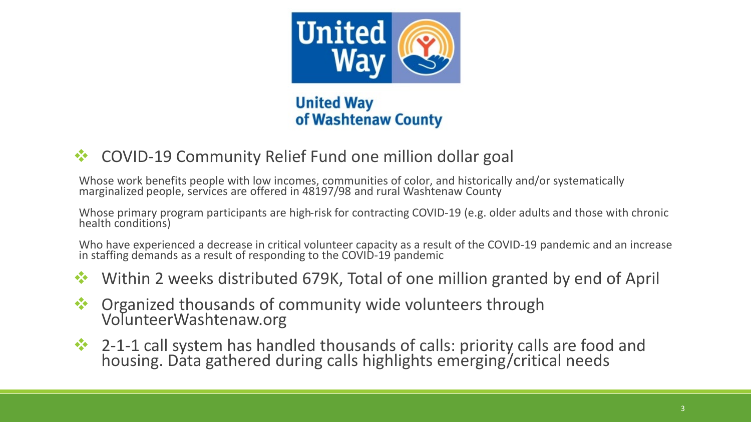

**United Way** of Washtenaw County

**☆** COVID-19 Community Relief Fund one million dollar goal

Whose work benefits people with low incomes, communities of color, and historically and/or systematically marginalized people, services are offered in 48197/98 and rural Washtenaw County

Whose primary program participants are high-risk for contracting COVID-19 (e.g. older adults and those with chronic health conditions)

Who have experienced a decrease in critical volunteer capacity as a result of the COVID-19 pandemic and an increase in staffing demands as a result of responding to the COVID-19 pandemic

- **\*** Within 2 weeks distributed 679K, Total of one million granted by end of April
- **♦ Organized thousands of community wide volunteers through** VolunteerWashtenaw.org
- <sup>2</sup> 2-1-1 call system has handled thousands of calls: priority calls are food and housing. Data gathered during calls highlights emerging/critical needs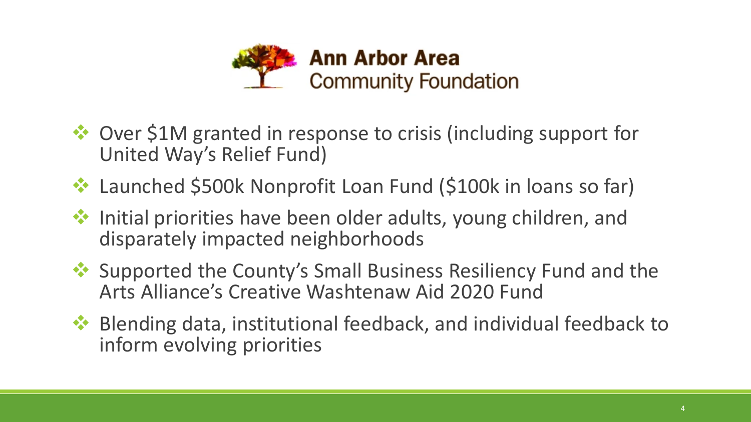

- ◆ Over \$1M granted in response to crisis (including support for United Way's Relief Fund)
- ◆ Launched \$500k Nonprofit Loan Fund (\$100k in loans so far)
- $\cdot$  Initial priorities have been older adults, young children, and disparately impacted neighborhoods
- ◆ Supported the County's Small Business Resiliency Fund and the Arts Alliance's Creative Washtenaw Aid 2020 Fund
- $\cdot$  Blending data, institutional feedback, and individual feedback to inform evolving priorities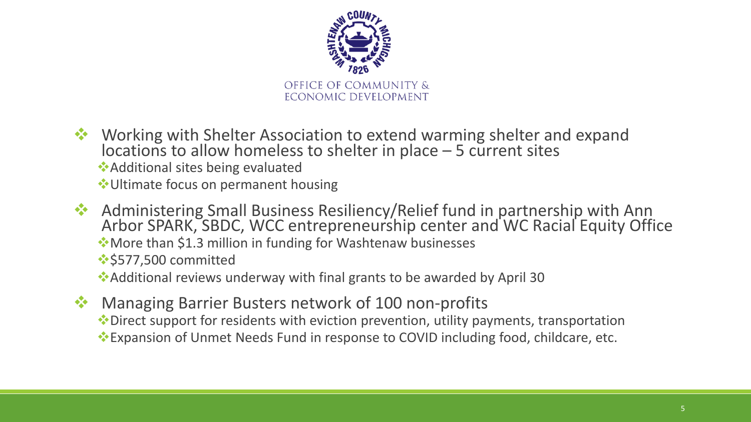

- Working with Shelter Association to extend warming shelter and expand locations to allow homeless to shelter in place – 5 current sites ◆ Additional sites being evaluated Ultimate focus on permanent housing
- \* Administering Small Business Resiliency/Relief fund in partnership with Ann Arbor SPARK, SBDC, WCC entrepreneurship center and WC Racial Equity Office More than \$1.3 million in funding for Washtenaw businesses **:** \$577,500 committed

Additional reviews underway with final grants to be awarded by April 30

**☆** Managing Barrier Busters network of 100 non-profits Direct support for residents with eviction prevention, utility payments, transportation Expansion of Unmet Needs Fund in response to COVID including food, childcare, etc.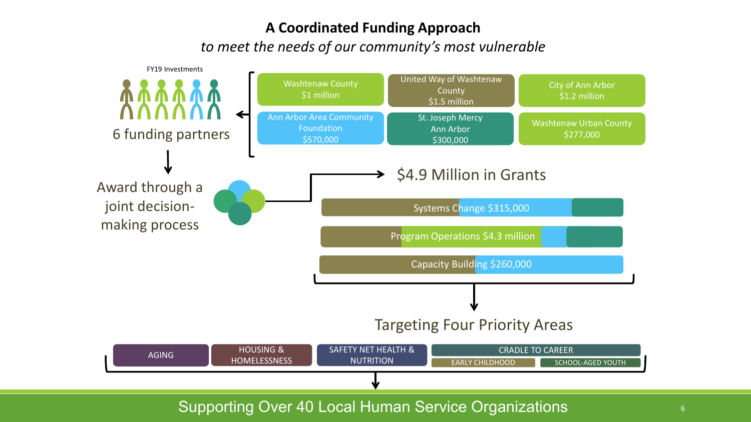#### **A Coordinated Funding Approach**

*to meet the needs of our community's most vulnerable*

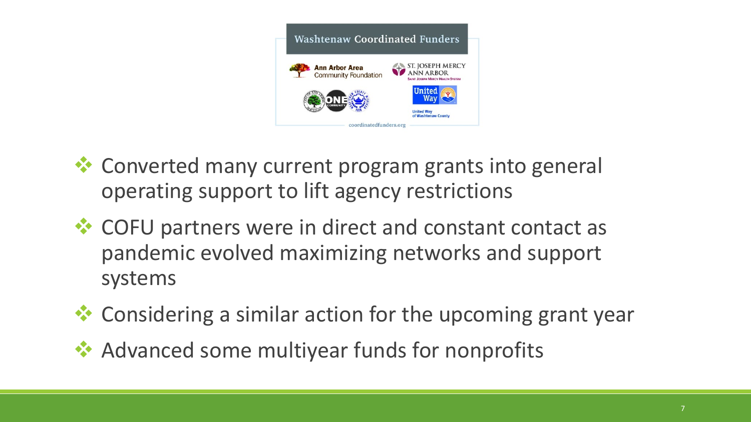

- **<sup>◆</sup>** Converted many current program grants into general operating support to lift agency restrictions
- **EX** COFU partners were in direct and constant contact as pandemic evolved maximizing networks and support systems
- **☆ Considering a similar action for the upcoming grant year**
- **★ Advanced some multiyear funds for nonprofits**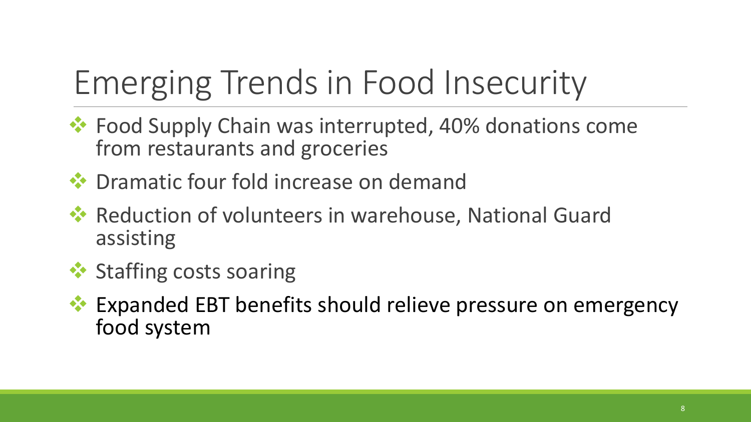# Emerging Trends in Food Insecurity

- $\cdot$  **Food Supply Chain was interrupted, 40% donations come** from restaurants and groceries
- ◆ Dramatic four fold increase on demand
- **EX** Reduction of volunteers in warehouse, National Guard assisting
- **❖ Staffing costs soaring**
- **Expanded EBT benefits should relieve pressure on emergency** food system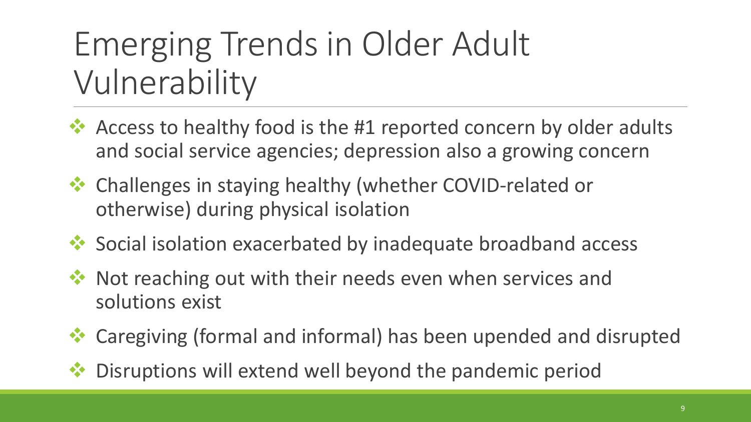## Emerging Trends in Older Adult Vulnerability

- $\cdot$  Access to healthy food is the #1 reported concern by older adults and social service agencies; depression also a growing concern
- ◆ Challenges in staying healthy (whether COVID-related or otherwise) during physical isolation
- ◆ Social isolation exacerbated by inadequate broadband access
- ◆ Not reaching out with their needs even when services and solutions exist
- Caregiving (formal and informal) has been upended and disrupted
- Disruptions will extend well beyond the pandemic period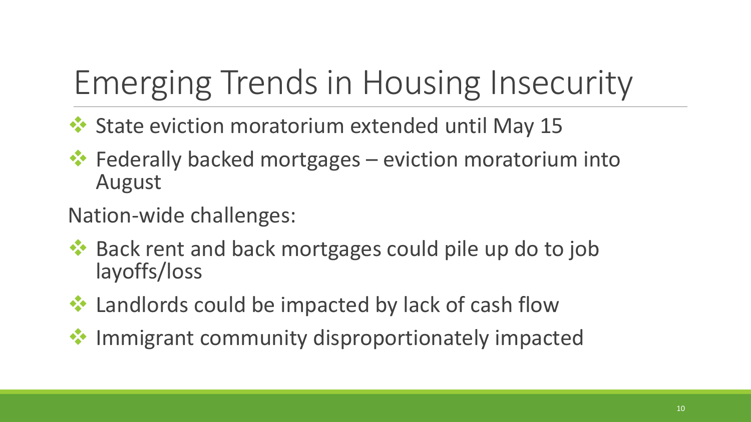# Emerging Trends in Housing Insecurity

- ◆ State eviction moratorium extended until May 15
- $\cdot$  Federally backed mortgages eviction moratorium into August
- Nation-wide challenges:
- **EX** Back rent and back mortgages could pile up do to job layoffs/loss
- **☆ Landlords could be impacted by lack of cash flow**
- $\triangle$  Immigrant community disproportionately impacted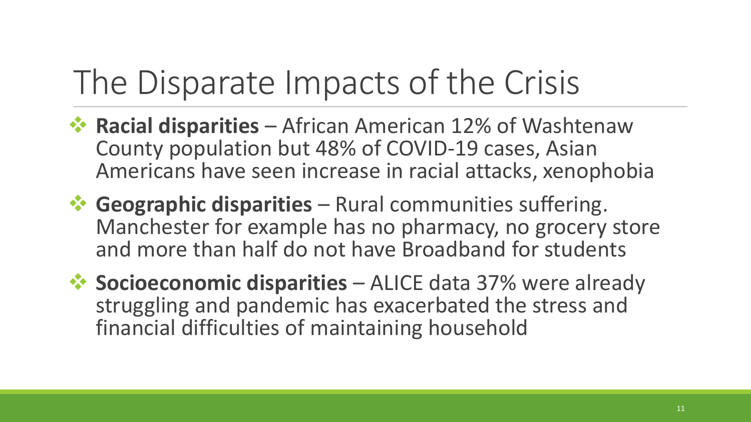# The Disparate Impacts of the Crisis

- **☆ Racial disparities** African American 12% of Washtenaw County population but 48% of COVID-19 cases, Asian Americans have seen increase in racial attacks, xenophobia
- **<sup>◆</sup> Geographic disparities** Rural communities suffering. Manchester for example has no pharmacy, no grocery store and more than half do not have Broadband for students
- **<sup>◆</sup> Socioeconomic disparities** ALICE data 37% were already struggling and pandemic has exacerbated the stress and financial difficulties of maintaining household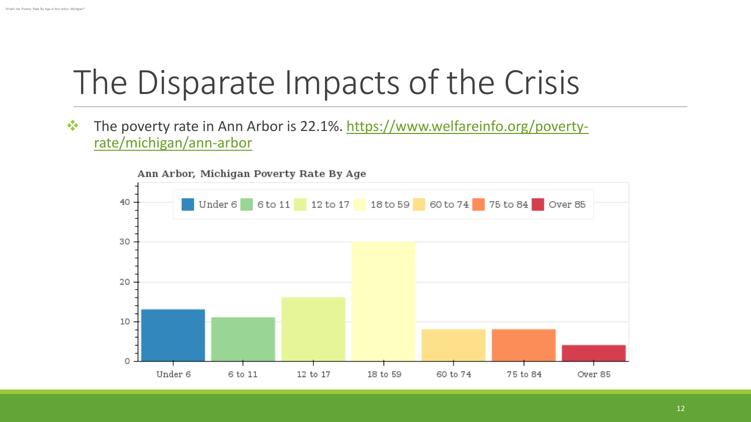#### The Disparate Impacts of the Crisis

**The poverty rate in Ann Arbor is 22.1%.** https://www.welfareinfo.org/povertyrate/michigan/ann-arbor

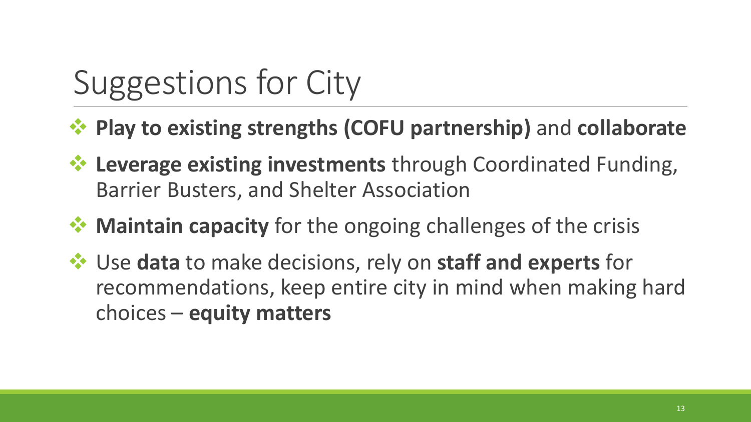# Suggestions for City

- **Play to existing strengths (COFU partnership)** and **collaborate**
- **<sup>◆</sup> Leverage existing investments** through Coordinated Funding, Barrier Busters, and Shelter Association
- **<sup>◆</sup> Maintain capacity** for the ongoing challenges of the crisis
- Use **data** to make decisions, rely on **staff and experts** for recommendations, keep entire city in mind when making hard choices – **equity matters**